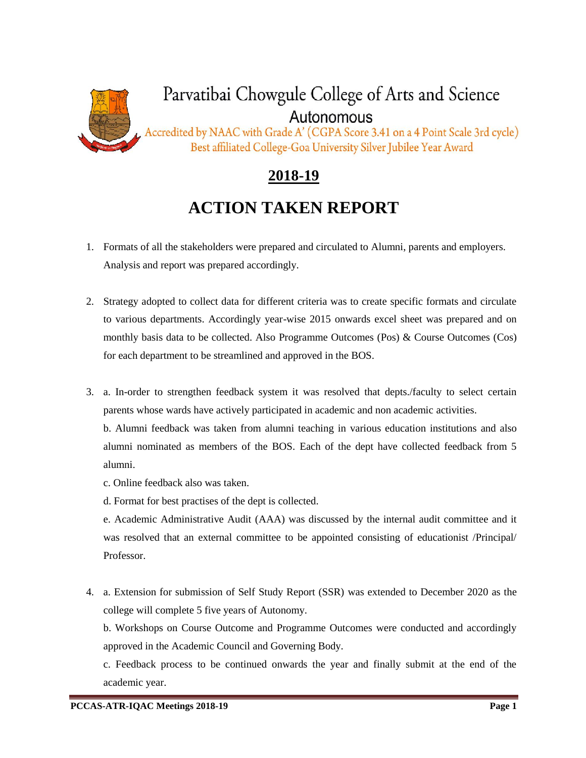

## **2018-19**

## **ACTION TAKEN REPORT**

- 1. Formats of all the stakeholders were prepared and circulated to Alumni, parents and employers. Analysis and report was prepared accordingly.
- 2. Strategy adopted to collect data for different criteria was to create specific formats and circulate to various departments. Accordingly year-wise 2015 onwards excel sheet was prepared and on monthly basis data to be collected. Also Programme Outcomes (Pos) & Course Outcomes (Cos) for each department to be streamlined and approved in the BOS.
- 3. a. In-order to strengthen feedback system it was resolved that depts./faculty to select certain parents whose wards have actively participated in academic and non academic activities.

b. Alumni feedback was taken from alumni teaching in various education institutions and also alumni nominated as members of the BOS. Each of the dept have collected feedback from 5 alumni.

- c. Online feedback also was taken.
- d. Format for best practises of the dept is collected.

e. Academic Administrative Audit (AAA) was discussed by the internal audit committee and it was resolved that an external committee to be appointed consisting of educationist /Principal/ Professor.

4. a. Extension for submission of Self Study Report (SSR) was extended to December 2020 as the college will complete 5 five years of Autonomy.

b. Workshops on Course Outcome and Programme Outcomes were conducted and accordingly approved in the Academic Council and Governing Body.

c. Feedback process to be continued onwards the year and finally submit at the end of the academic year.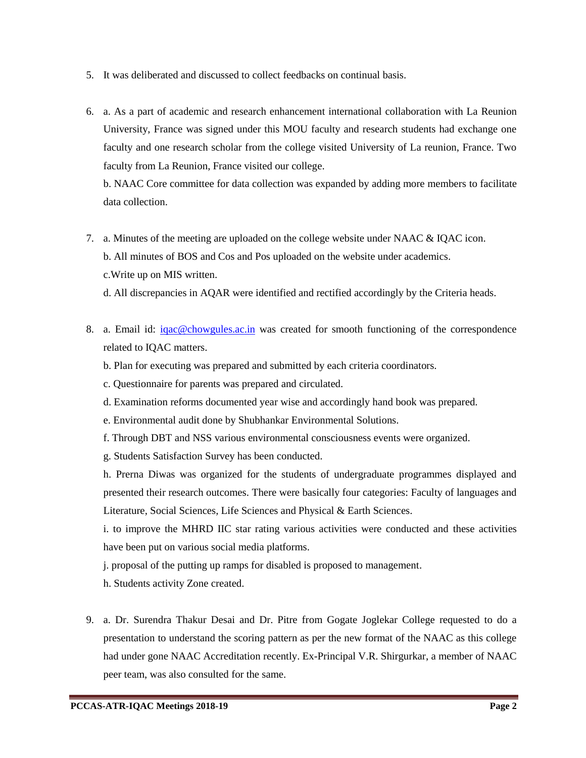- 5. It was deliberated and discussed to collect feedbacks on continual basis.
- 6. a. As a part of academic and research enhancement international collaboration with La Reunion University, France was signed under this MOU faculty and research students had exchange one faculty and one research scholar from the college visited University of La reunion, France. Two faculty from La Reunion, France visited our college.

b. NAAC Core committee for data collection was expanded by adding more members to facilitate data collection.

- 7. a. Minutes of the meeting are uploaded on the college website under NAAC & IQAC icon. b. All minutes of BOS and Cos and Pos uploaded on the website under academics. c.Write up on MIS written.
	- d. All discrepancies in AQAR were identified and rectified accordingly by the Criteria heads.
- 8. a. Email id: *igac@chowgules.ac.in* was created for smooth functioning of the correspondence related to IQAC matters.
	- b. Plan for executing was prepared and submitted by each criteria coordinators.
	- c. Questionnaire for parents was prepared and circulated.
	- d. Examination reforms documented year wise and accordingly hand book was prepared.
	- e. Environmental audit done by Shubhankar Environmental Solutions.
	- f. Through DBT and NSS various environmental consciousness events were organized.
	- g. Students Satisfaction Survey has been conducted.

h. Prerna Diwas was organized for the students of undergraduate programmes displayed and presented their research outcomes. There were basically four categories: Faculty of languages and Literature, Social Sciences, Life Sciences and Physical & Earth Sciences.

i. to improve the MHRD IIC star rating various activities were conducted and these activities have been put on various social media platforms.

j. proposal of the putting up ramps for disabled is proposed to management.

h. Students activity Zone created.

9. a. Dr. Surendra Thakur Desai and Dr. Pitre from Gogate Joglekar College requested to do a presentation to understand the scoring pattern as per the new format of the NAAC as this college had under gone NAAC Accreditation recently. Ex-Principal V.R. Shirgurkar, a member of NAAC peer team, was also consulted for the same.